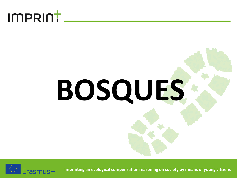### imprint.

# **BOSQUES**

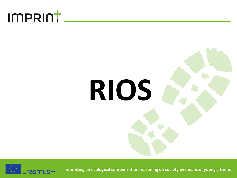### IMPRINT\_



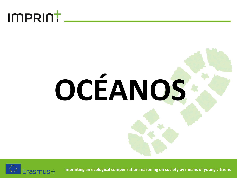### IMPRINT.

## **OCÉANOS**

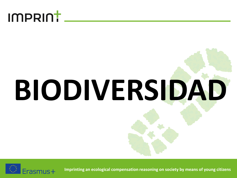

## **BIODIVERSIDAD**

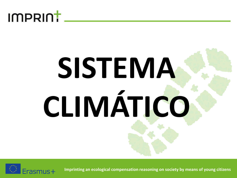

## **SISTEMA CLIMÁTICO**

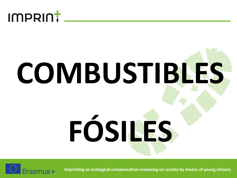

## **COMBUSTIBLES FÓSILES**

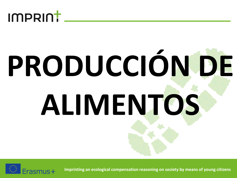

# **PRODUCCIÓN DE ALIMENTOS**

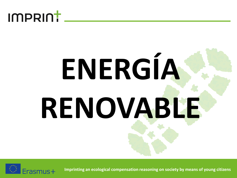

## **ENERGÍA RENOVABLE**

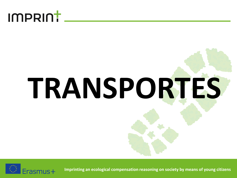

# **TRANSPORTES**

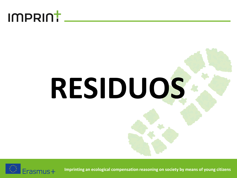### imprint.

# **RESIDUOS**

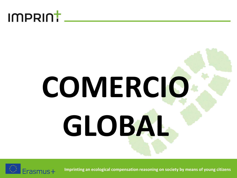### **IMPRINT**

## **COMERCIO GLOBAL**

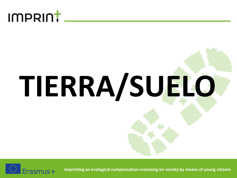

# **TIERRA/SUELO**

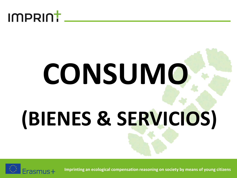

## **CONSUMO (BIENES & SERVICIOS)**